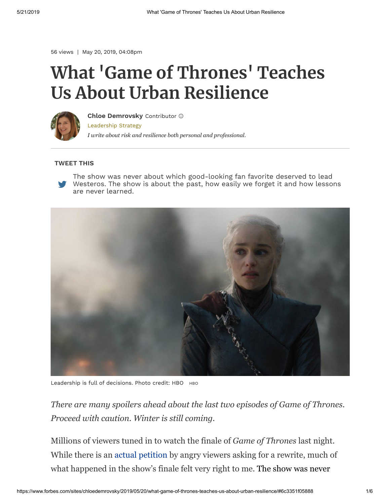56 views | May 20, 2019, 04:08pm

## **What 'Game of Thrones' Teaches Us About Urban Resilience**



[Leadership Strategy](https://www.forbes.com/leadership-strategy) *I write about risk and resilience both personal and professional.* **[Chloe Demrovsky](https://www.forbes.com/sites/chloedemrovsky/)** Contributor

## **TWEET THIS**



Westeros. The show is about the past, how easily we forget it and how lessons The show [was never about which good-looking fan favorite deserved to lead](https://twitter.com/intent/tweet?url=http%3A%2F%2Fwww.forbes.com%2Fsites%2Fchloedemrovsky%2F2019%2F05%2F20%2Fwhat-game-of-thrones-teaches-us-about-urban-resilience%2F&text=%23GOT%20was%20never%20about%20who%20deserved%20to%20lead%20Westeros.%20It%27s%20about%20the%20past%2C%20how%20easily%20we%20forget%20and%20how%20we%20never%20learn.) are never learned.



Leadership is full of decisions. Photo credit: HBO HBO

*There are many spoilers ahead about the last two episodes of Game of Thrones. Proceed with caution. Winter is still coming.*

Millions of viewers tuned in to watch the finale of *Game of Thrones* last night. While there is an [actual petition](https://www.washingtonpost.com/nation/2019/05/17/game-thrones-petition-remake-season/?utm_term=.1fab9e8fc773) by angry viewers asking for a rewrite, much of [what happened in the show's finale felt very right to me. The show was never](https://twitter.com/intent/tweet?url=http%3A%2F%2Fwww.forbes.com%2Fsites%2Fchloedemrovsky%2F2019%2F05%2F20%2Fwhat-game-of-thrones-teaches-us-about-urban-resilience%2F&text=%23GOT%20was%20never%20about%20who%20deserved%20to%20lead%20Westeros.%20It%27s%20about%20the%20past%2C%20how%20easily%20we%20forget%20and%20how%20we%20never%20learn.)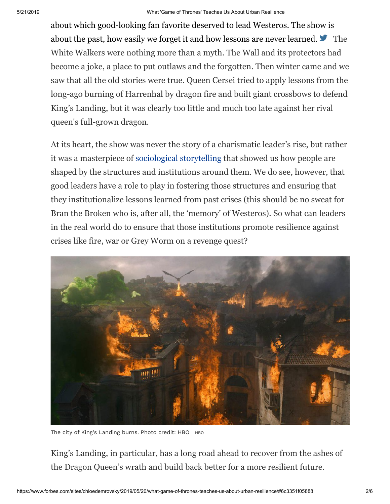about which good-looking fan favorite deserved to lead Westeros. The show is about the past, how easily we forget it and how lessons are never learned.  $\blacktriangleright$  The White Walkers were nothing more than a myth. The Wall and its protectors had become a joke, a place to put outlaws and the forgotten. Then winter came and we saw that all the old stories were true. Queen Cersei tried to apply lessons from the long-ago burning of Harrenhal by dragon fire and built giant crossbows to defend King's Landing, but it was clearly too little and much too late against her rival queen's full-grown dragon.

At its heart, the show was never the story of a charismatic leader's rise, but rather it was a masterpiece of [sociological storytelling](https://blogs.scientificamerican.com/observations/the-real-reason-fans-hate-the-last-season-of-game-of-thrones/) that showed us how people are shaped by the structures and institutions around them. We do see, however, that good leaders have a role to play in fostering those structures and ensuring that they institutionalize lessons learned from past crises (this should be no sweat for Bran the Broken who is, after all, the 'memory' of Westeros). So what can leaders in the real world do to ensure that those institutions promote resilience against crises like fire, war or Grey Worm on a revenge quest?



The city of King's Landing burns. Photo credit: HBO HBO

King's Landing, in particular, has a long road ahead to recover from the ashes of the Dragon Queen's wrath and build back better for a more resilient future.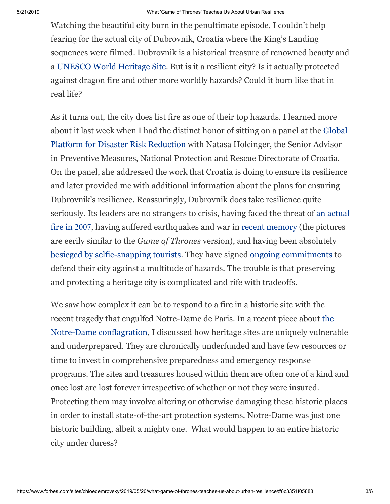Watching the beautiful city burn in the penultimate episode, I couldn't help fearing for the actual city of Dubrovnik, Croatia where the King's Landing sequences were filmed. Dubrovnik is a historical treasure of renowned beauty and a [UNESCO World Heritage Site.](https://whc.unesco.org/en/list/95) But is it a resilient city? Is it actually protected against dragon fire and other more worldly hazards? Could it burn like that in real life?

As it turns out, the city does list fire as one of their top hazards. I learned more [about it last week when I had the distinct honor of sitting on a panel at the Global](https://www.unisdr.org/conference/2019/globalplatform/home) Platform for Disaster Risk Reduction with Natasa Holcinger, the Senior Advisor in Preventive Measures, National Protection and Rescue Directorate of Croatia. On the panel, she addressed the work that Croatia is doing to ensure its resilience and later provided me with additional information about the plans for ensuring Dubrovnik's resilience. Reassuringly, Dubrovnik does take resilience quite [seriously. Its leaders are no strangers to crisis, having faced the threat of an actual](https://www.theguardian.com/world/2007/aug/06/weather.environment) fire in 2007, having suffered earthquakes and war in [recent memory](https://www.unisdr.org/files/27513_08efdrr2oct2012croatiacityofdubrovn.pdf) (the pictures are eerily similar to the *Game of Thrones* version), and having been absolutely [besieged by selfie-snapping tourists](https://www.citylab.com/design/2017/12/game-of-thrones-tourists-are-beseiging-dubrovnik/544967/). They have signed [ongoing commitments](https://www.unisdr.org/we/inform/publications/32584) to defend their city against a multitude of hazards. The trouble is that preserving and protecting a heritage city is complicated and rife with tradeoffs.

We saw how complex it can be to respond to a fire in a historic site with the [recent tragedy that engulfed Notre-Dame de Paris. In a recent piece about the](https://www.forbes.com/sites/chloedemrovsky/2019/04/15/notre-dame-in-flames-protecting-our-cultural-treasures/#7fc562f05f10) Notre-Dame conflagration, I discussed how heritage sites are uniquely vulnerable and underprepared. They are chronically underfunded and have few resources or time to invest in comprehensive preparedness and emergency response programs. The sites and treasures housed within them are often one of a kind and once lost are lost forever irrespective of whether or not they were insured. Protecting them may involve altering or otherwise damaging these historic places in order to install state-of-the-art protection systems. Notre-Dame was just one historic building, albeit a mighty one. What would happen to an entire historic city under duress?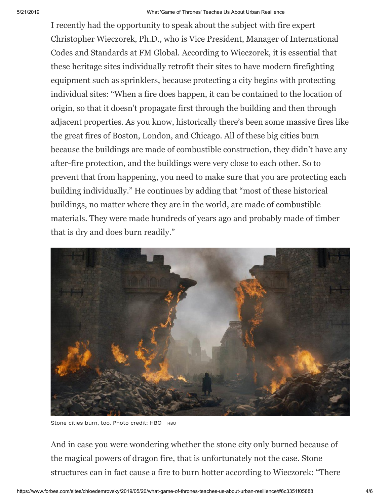I recently had the opportunity to speak about the subject with fire expert Christopher Wieczorek, Ph.D., who is Vice President, Manager of International Codes and Standards at FM Global. According to Wieczorek, it is essential that these heritage sites individually retrofit their sites to have modern firefighting equipment such as sprinklers, because protecting a city begins with protecting individual sites: "When a fire does happen, it can be contained to the location of origin, so that it doesn't propagate first through the building and then through adjacent properties. As you know, historically there's been some massive fires like the great fires of Boston, London, and Chicago. All of these big cities burn because the buildings are made of combustible construction, they didn't have any after-fire protection, and the buildings were very close to each other. So to prevent that from happening, you need to make sure that you are protecting each building individually." He continues by adding that "most of these historical buildings, no matter where they are in the world, are made of combustible materials. They were made hundreds of years ago and probably made of timber that is dry and does burn readily."



Stone cities burn, too. Photo credit: HBO HBO

And in case you were wondering whether the stone city only burned because of the magical powers of dragon fire, that is unfortunately not the case. Stone structures can in fact cause a fire to burn hotter according to Wieczorek: "There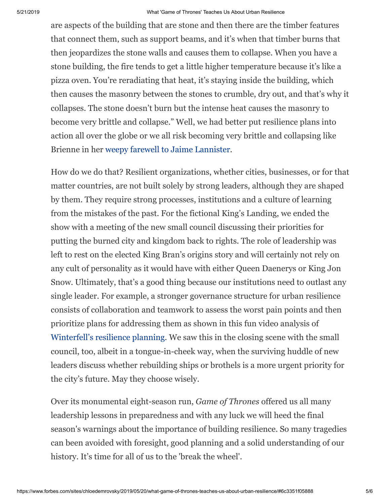are aspects of the building that are stone and then there are the timber features that connect them, such as support beams, and it's when that timber burns that then jeopardizes the stone walls and causes them to collapse. When you have a stone building, the fire tends to get a little higher temperature because it's like a pizza oven. You're reradiating that heat, it's staying inside the building, which then causes the masonry between the stones to crumble, dry out, and that's why it collapses. The stone doesn't burn but the intense heat causes the masonry to become very brittle and collapse." Well, we had better put resilience plans into action all over the globe or we all risk becoming very brittle and collapsing like Brienne in her [weepy farewell to Jaime Lannister](https://www.eonline.com/news/1038683/game-of-thrones-gwendoline-christie-breaks-down-brienne-s-heartbreak).

How do we do that? Resilient organizations, whether cities, businesses, or for that matter countries, are not built solely by strong leaders, although they are shaped by them. They require strong processes, institutions and a culture of learning from the mistakes of the past. For the fictional King's Landing, we ended the show with a meeting of the new small council discussing their priorities for putting the burned city and kingdom back to rights. The role of leadership was left to rest on the elected King Bran's origins story and will certainly not rely on any cult of personality as it would have with either Queen Daenerys or King Jon Snow. Ultimately, that's a good thing because our institutions need to outlast any single leader. For example, a stronger governance structure for urban resilience consists of collaboration and teamwork to assess the worst pain points and then prioritize plans for addressing them as shown in this fun video analysis of [Winterfell's resilience planning.](http://www.acclimatise.uk.com/2017/08/25/are-you-a-good-climate-resilience-officer-lessons-from-game-of-thrones/) We saw this in the closing scene with the small council, too, albeit in a tongue-in-cheek way, when the surviving huddle of new leaders discuss whether rebuilding ships or brothels is a more urgent priority for the city's future. May they choose wisely.

Over its monumental eight-season run, *Game of Thrones* offered us all many leadership lessons in preparedness and with any luck we will heed the final season's warnings about the importance of building resilience. So many tragedies can been avoided with foresight, good planning and a solid understanding of our history. It's time for all of us to the 'break the wheel'.